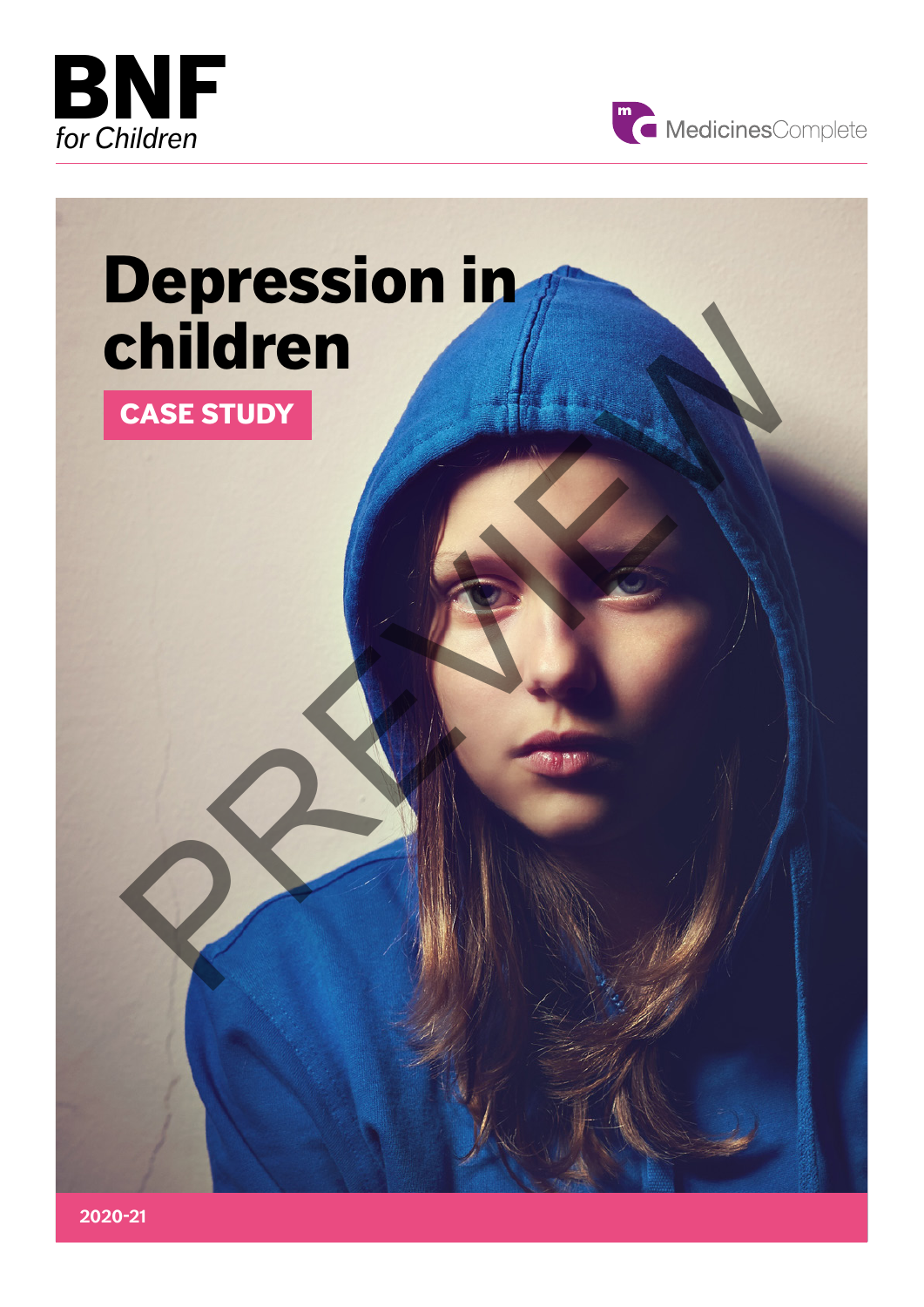



## Depression in children CASE STUDY<br>CASE STUDY<br>PREVIEW PREVIEW PREVIEW PREVIEW PREVIEW PREVIEW PREVIEW PREVIEW PREVIEW PREVIEW PREVIEW PREVIEW PREVIEW PREVIEW

CASE STUDY